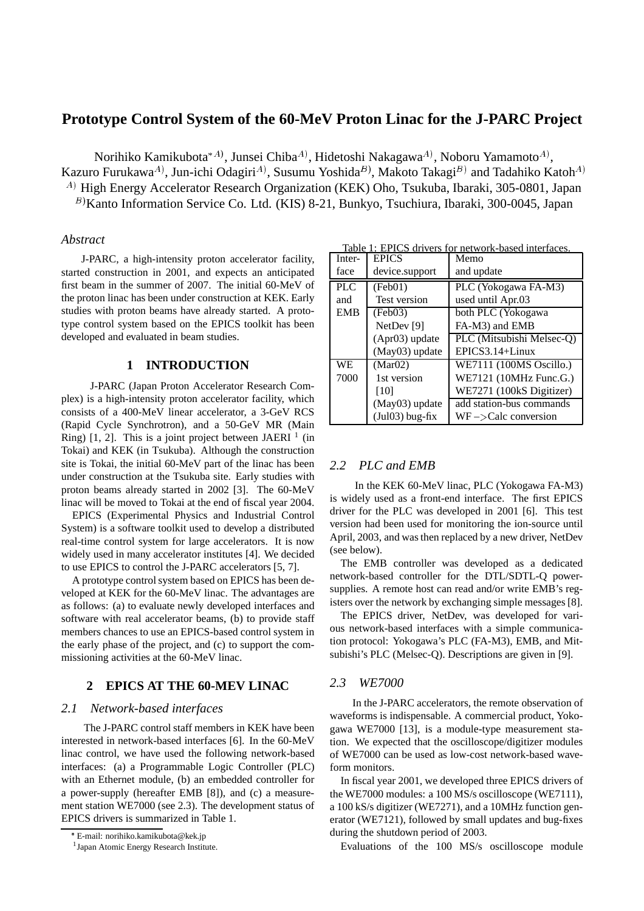# **Prototype Control System of the 60-MeV Proton Linac for the J-PARC Project**

Norihiko Kamikubota $^{\ast A)}$ , Junsei Chiba $^A$ ), Hidetoshi Nakagawa $^A$ ), Noboru Yamamoto $^A$ ),

Kazuro Furukawa $^{A)}$ , Jun-ichi Odagiri $^{A)}$ , Susumu Yoshida $^{B)}$ , Makoto Takagi $^{B)}$  and Tadahiko Katoh $^{A}$ <sup>A)</sup> High Energy Accelerator Research Organization (KEK) Oho, Tsukuba, Ibaraki, 305-0801, Japan

<sup>B)</sup> Kanto Information Service Co. Ltd. (KIS) 8-21, Bunkyo, Tsuchiura, Ibaraki, 300-0045, Japan

### *Abstract*

J-PARC, a high-intensity proton accelerator facility, started construction in 2001, and expects an anticipated first beam in the summer of 2007. The initial 60-MeV of the proton linac has been under construction at KEK. Early studies with proton beams have already started. A prototype control system based on the EPICS toolkit has been developed and evaluated in beam studies.

## **1 INTRODUCTION**

J-PARC (Japan Proton Accelerator Research Complex) is a high-intensity proton accelerator facility, which consists of a 400-MeV linear accelerator, a 3-GeV RCS (Rapid Cycle Synchrotron), and a 50-GeV MR (Main Ring) [1, 2]. This is a joint project between JAERI  $<sup>1</sup>$  (in</sup> Tokai) and KEK (in Tsukuba). Although the construction site is Tokai, the initial 60-MeV part of the linac has been under construction at the Tsukuba site. Early studies with proton beams already started in 2002 [3]. The 60-MeV linac will be moved to Tokai at the end of fiscal year 2004.

EPICS (Experimental Physics and Industrial Control System) is a software toolkit used to develop a distributed real-time control system for large accelerators. It is now widely used in many accelerator institutes [4]. We decided to use EPICS to control the J-PARC accelerators [5, 7].

A prototype control system based on EPICS has been developed at KEK for the 60-MeV linac. The advantages are as follows: (a) to evaluate newly developed interfaces and software with real accelerator beams, (b) to provide staff members chances to use an EPICS-based control system in the early phase of the project, and (c) to support the commissioning activities at the 60-MeV linac.

## **2 EPICS AT THE 60-MEV LINAC**

## *2.1 Network-based interfaces*

The J-PARC control staff members in KEK have been interested in network-based interfaces [6]. In the 60-MeV linac control, we have used the following network-based interfaces: (a) a Programmable Logic Controller (PLC) with an Ethernet module, (b) an embedded controller for a power-supply (hereafter EMB [8]), and (c) a measurement station WE7000 (see 2.3). The development status of EPICS drivers is summarized in Table 1.

Table 1: EPICS drivers for network-based interfaces.

| Inter-     | <b>EPICS</b>          | Memo                      |  |
|------------|-----------------------|---------------------------|--|
| face       | device.support        | and update                |  |
| <b>PLC</b> | (Feb01)               | PLC (Yokogawa FA-M3)      |  |
| and        | <b>Test version</b>   | used until Apr.03         |  |
| <b>EMB</b> | (Feb03)               | both PLC (Yokogawa        |  |
|            | NetDev <sup>[9]</sup> | FA-M3) and EMB            |  |
|            | (Apr03) update        | PLC (Mitsubishi Melsec-Q) |  |
|            | (May03) update        | $EPICS3.14+Linux$         |  |
| WE.        | (Mar02)               | WE7111 (100MS Oscillo.)   |  |
| 7000       | 1st version           | WE7121 (10MHz Func.G.)    |  |
|            | [10]                  | WE7271 (100kS Digitizer)  |  |
|            | (May03) update        | add station-bus commands  |  |
|            | $(Jul03) bug-fix$     | $WF$ ->Calc conversion    |  |

## *2.2 PLC and EMB*

In the KEK 60-MeV linac, PLC (Yokogawa FA-M3) is widely used as a front-end interface. The first EPICS driver for the PLC was developed in 2001 [6]. This test version had been used for monitoring the ion-source until April, 2003, and wasthen replaced by a new driver, NetDev (see below).

The EMB controller was developed as a dedicated network-based controller for the DTL/SDTL-Q powersupplies. A remote host can read and/or write EMB's registers over the network by exchanging simple messages [8].

The EPICS driver, NetDev, was developed for various network-based interfaces with a simple communication protocol: Yokogawa's PLC (FA-M3), EMB, and Mitsubishi's PLC (Melsec-Q). Descriptions are given in [9].

#### *2.3 WE7000*

In the J-PARC accelerators, the remote observation of waveforms is indispensable. A commercial product, Yokogawa WE7000 [13], is a module-type measurement station. We expected that the oscilloscope/digitizer modules of WE7000 can be used as low-cost network-based waveform monitors.

In fiscal year 2001, we developed three EPICS drivers of the WE7000 modules: a 100 MS/s oscilloscope (WE7111), a 100 kS/s digitizer (WE7271), and a 10MHz function generator (WE7121), followed by small updates and bug-fixes during the shutdown period of 2003.

Evaluations of the 100 MS/s oscilloscope module

E-mail: norihiko.kamikubota@kek.jp

<sup>1</sup> Japan Atomic Energy Research Institute.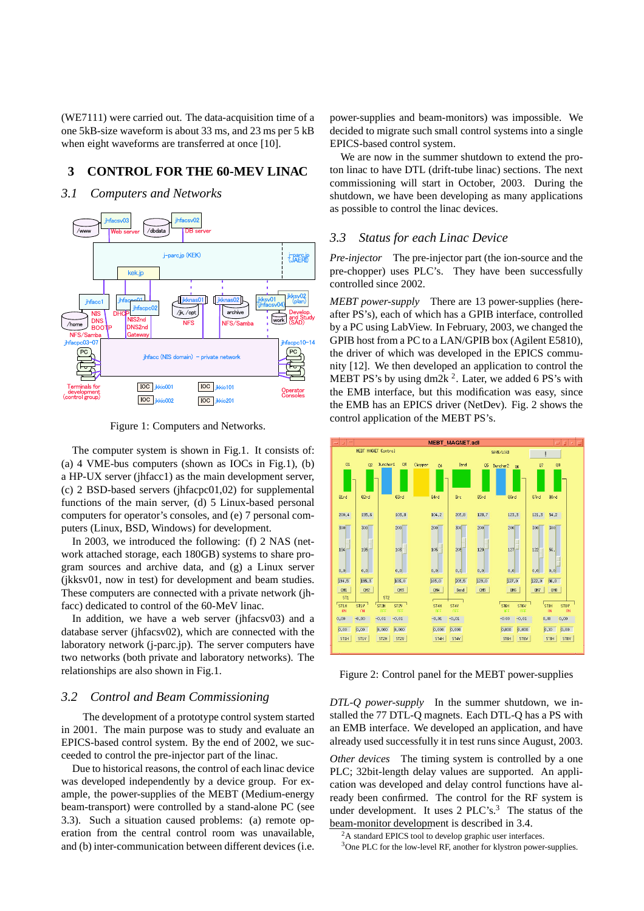(WE7111) were carried out. The data-acquisition time of a one 5kB-size waveform is about 33 ms, and 23 ms per 5 kB when eight waveforms are transferred at once [10].

## **3 CONTROL FOR THE 60-MEV LINAC**

### *3.1 Computers and Networks*



Figure 1: Computers and Networks.

The computer system is shown in Fig.1. It consists of: (a) 4 VME-bus computers (shown as IOCs in Fig.1), (b) a HP-UX server (jhfacc1) as the main development server, (c) 2 BSD-based servers (jhfacpc01,02) for supplemental functions of the main server, (d) 5 Linux-based personal computers for operator's consoles, and (e) 7 personal computers (Linux, BSD, Windows) for development.

In 2003, we introduced the following: (f) 2 NAS (network attached storage, each 180GB) systems to share program sources and archive data, and (g) a Linux server (jkksv01, now in test) for development and beam studies. These computers are connected with a private network (jhfacc) dedicated to control of the 60-MeV linac.

In addition, we have a web server (jhfacsv03) and a database server (jhfacsv02), which are connected with the laboratory network (j-parc.jp). The server computers have two networks (both private and laboratory networks). The relationships are also shown in Fig.1.

### *3.2 Control and Beam Commissioning*

The development of a prototype control system started in 2001. The main purpose was to study and evaluate an EPICS-based control system. By the end of 2002, we succeeded to control the pre-injector part of the linac.

Due to historical reasons, the control of each linac device was developed independently by a device group. For example, the power-supplies of the MEBT (Medium-energy beam-transport) were controlled by a stand-alone PC (see 3.3). Such a situation caused problems: (a) remote operation from the central control room was unavailable, and (b) inter-communication between different devices (i.e. power-supplies and beam-monitors) was impossible. We decided to migrate such small control systems into a single EPICS-based control system.

We are now in the summer shutdown to extend the proton linac to have DTL (drift-tube linac) sections. The next commissioning will start in October, 2003. During the shutdown, we have been developing as many applications as possible to control the linac devices.

### *3.3 Status for each Linac Device*

*Pre-injector* The pre-injector part (the ion-source and the pre-chopper) uses PLC's. They have been successfully controlled since 2002.

*MEBT power-supply* There are 13 power-supplies (hereafter PS's), each of which has a GPIB interface, controlled by a PC using LabView. In February, 2003, we changed the GPIB host from a PC to a LAN/GPIB box (Agilent E5810), the driver of which was developed in the EPICS community [12]. We then developed an application to control the MEBT PS's by using dm2k  $^2$ . Later, we added 6 PS's with the EMB interface, but this modification was easy, since the EMB has an EPICS driver (NetDev). Fig. 2 shows the control application of the MEBT PS's.



Figure 2: Control panel for the MEBT power-supplies

*DTL-Q power-supply* In the summer shutdown, we installed the 77 DTL-Q magnets. Each DTL-Q has a PS with an EMB interface. We developed an application, and have already used successfully it in test runs since August, 2003.

*Other devices* The timing system is controlled by a one PLC; 32bit-length delay values are supported. An application was developed and delay control functions have already been confirmed. The control for the RF system is under development. It uses  $2$  PLC's.<sup>3</sup> The status of the beam-monitor development is described in 3.4.

<sup>&</sup>lt;sup>2</sup>A standard EPICS tool to develop graphic user interfaces.

<sup>3</sup>One PLC for the low-level RF, another for klystron power-supplies.